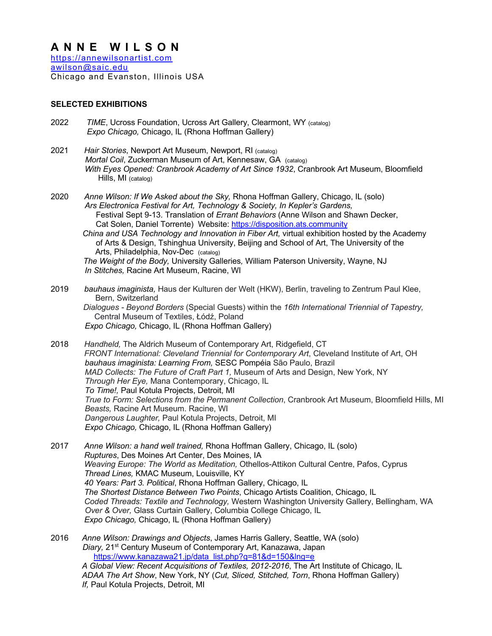# **ANNE WILSON**

https://annewilsonartist.com awilson@saic.edu Chicago and Evanston, Illinois USA

## **SELECTED EXHIBITIONS**

- 2022 *TIME*, Ucross Foundation, Ucross Art Gallery, Clearmont, WY (catalog) *Expo Chicago,* Chicago, IL (Rhona Hoffman Gallery)
- 2021 *Hair Stories*, Newport Art Museum, Newport, RI (catalog) *Mortal Coil*, Zuckerman Museum of Art, Kennesaw, GA (catalog) *With Eyes Opened: Cranbrook Academy of Art Since 1932*, Cranbrook Art Museum, Bloomfield Hills, MI (catalog)
- 2020 *Anne Wilson: If We Asked about the Sky,* Rhona Hoffman Gallery, Chicago, IL (solo)  *Ars Electronica Festival for Art, Technology & Society, In Kepler's Gardens,* Festival Sept 9-13. Translation of *Errant Behaviors* (Anne Wilson and Shawn Decker, Cat Solen, Daniel Torrente) Website: https://disposition.ats.community  *China and USA Technology and Innovation in Fiber Art,* virtual exhibition hosted by the Academy of Arts & Design, Tshinghua University, Beijing and School of Art, The University of the

 Arts, Philadelphia, Nov-Dec (catalog) *The Weight of the Body,* University Galleries*,* William Paterson University, Wayne, NJ  *In Stitches,* Racine Art Museum, Racine, WI

2019 *bauhaus imaginista,* Haus der Kulturen der Welt (HKW), Berlin, traveling to Zentrum Paul Klee, Bern, Switzerland *Dialogues - Beyond Borders* (Special Guests) within the *16th International Triennial of Tapestry,* Central Museum of Textiles, Łódź, Poland *Expo Chicago,* Chicago, IL (Rhona Hoffman Gallery)

2018 *Handheld,* The Aldrich Museum of Contemporary Art, Ridgefield, CT  *FRONT International: Cleveland Triennial for Contemporary Art*, Cleveland Institute of Art, OH *bauhaus imaginista: Learning From,* SESC Pompéia São Paulo, Brazil  *MAD Collects: The Future of Craft Part 1,* Museum of Arts and Design, New York, NY *Through Her Eye,* Mana Contemporary, Chicago, IL *To Time!,* Paul Kotula Projects, Detroit, MI *True to Form: Selections from the Permanent Collection*, Cranbrook Art Museum, Bloomfield Hills, MI *Beasts,* Racine Art Museum. Racine, WI *Dangerous Laughter,* Paul Kotula Projects, Detroit, MI *Expo Chicago,* Chicago, IL (Rhona Hoffman Gallery)

2017 *Anne Wilson: a hand well trained,* Rhona Hoffman Gallery, Chicago, IL (solo)  *Ruptures*, Des Moines Art Center, Des Moines, IA *Weaving Europe: The World as Meditation,* Othellos-Attikon Cultural Centre, Pafos, Cyprus  *Thread Lines,* KMAC Museum, Louisville, KY  *40 Years: Part 3. Political*, Rhona Hoffman Gallery, Chicago, IL *The Shortest Distance Between Two Points*, Chicago Artists Coalition, Chicago, IL *Coded Threads: Textile and Technology,* Western Washington University Gallery, Bellingham, WA *Over & Over,* Glass Curtain Gallery, Columbia College Chicago, IL *Expo Chicago,* Chicago, IL (Rhona Hoffman Gallery)

2016 *Anne Wilson: Drawings and Objects*, James Harris Gallery, Seattle, WA (solo) *Diary,* 21st Century Museum of Contemporary Art, Kanazawa, Japan https://www.kanazawa21.jp/data\_list.php?g=81&d=150&lng=e *A Global View: Recent Acquisitions of Textiles, 2012-2016*, The Art Institute of Chicago, IL  *ADAA The Art Show*, New York, NY (*Cut, Sliced, Stitched, Torn*, Rhona Hoffman Gallery) *If,* Paul Kotula Projects, Detroit, MI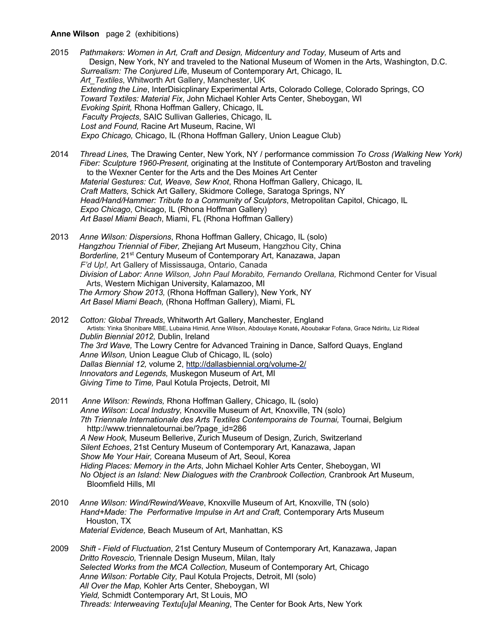#### **Anne Wilson** page 2 (exhibitions)

- 2015 *Pathmakers: Women in Art, Craft and Design, Midcentury and Today,* Museum of Arts and Design, New York, NY and traveled to the National Museum of Women in the Arts, Washington, D.C.  *Surrealism: The Conjured Lif*e, Museum of Contemporary Art, Chicago, IL *Art\_Textiles*, Whitworth Art Gallery, Manchester, UK *Extending the Line*, InterDisicplinary Experimental Arts, Colorado College, Colorado Springs, CO *Toward Textiles: Material Fix*, John Michael Kohler Arts Center, Sheboygan, WI *Evoking Spirit,* Rhona Hoffman Gallery, Chicago, IL *Faculty Projects*, SAIC Sullivan Galleries, Chicago, IL *Lost and Found,* Racine Art Museum, Racine, WI *Expo Chicago,* Chicago, IL (Rhona Hoffman Gallery, Union League Club)
- 2014 *Thread Lines,* The Drawing Center, New York, NY / performance commission *To Cross (Walking New York) Fiber: Sculpture 1960-Present,* originating at the Institute of Contemporary Art/Boston and traveling to the Wexner Center for the Arts and the Des Moines Art Center *Material Gestures: Cut, Weave, Sew Knot*, Rhona Hoffman Gallery, Chicago, IL *Craft Matters,* Schick Art Gallery, Skidmore College, Saratoga Springs, NY *Head/Hand/Hammer: Tribute to a Community of Sculptors*, Metropolitan Capitol, Chicago, IL *Expo Chicago*, Chicago, IL (Rhona Hoffman Gallery) *Art Basel Miami Beach*, Miami, FL (Rhona Hoffman Gallery)
- 2013 *Anne Wilson: Dispersions*, Rhona Hoffman Gallery, Chicago, IL (solo) *Hangzhou Triennial of Fiber,* Zhejiang Art Museum, Hangzhou City, China  *Borderline,* 21st Century Museum of Contemporary Art, Kanazawa, Japan *F'd Up!,* Art Gallery of Mississauga, Ontario, Canada *Division of Labor: Anne Wilson, John Paul Morabito, Fernando Orellana,* Richmond Center for Visual Arts, Western Michigan University, Kalamazoo, MI  *The Armory Show 2013,* (Rhona Hoffman Gallery), New York, NY  *Art Basel Miami Beach,* (Rhona Hoffman Gallery), Miami, FL
- <sup>2012</sup>*Cotton: Global Threads*, Whitworth Art Gallery, Manchester, England Artists: Yinka Shonibare MBE, Lubaina Himid, Anne Wilson, Abdoulaye Konaté**,** Aboubakar Fofana, Grace Ndiritu, Liz Rideal *Dublin Biennial 2012,* Dublin, Ireland *The 3rd Wave,* The Lowry Centre for Advanced Training in Dance, Salford Quays, England *Anne Wilson,* Union League Club of Chicago, IL (solo)  *Dallas Biennial 12,* volume 2, http://dallasbiennial.org/volume-2/ *Innovators and Legends,* Muskegon Museum of Art, MI *Giving Time to Time,* Paul Kotula Projects, Detroit, MI
- 2011 *Anne Wilson: Rewinds,* Rhona Hoffman Gallery, Chicago, IL (solo) *Anne Wilson: Local Industry,* Knoxville Museum of Art, Knoxville, TN (solo) *7th Triennale Internationale des Arts Textiles Contemporains de Tournai,* Tournai, Belgium http://www.triennaletournai.be/?page\_id=286 *A New Hook,* Museum Bellerive, Zurich Museum of Design, Zurich, Switzerland *Silent Echoes*, 21st Century Museum of Contemporary Art, Kanazawa, Japan  *Show Me Your Hair,* Coreana Museum of Art, Seoul, Korea *Hiding Places: Memory in the Arts*, John Michael Kohler Arts Center, Sheboygan, WI  *No Object is an Island: New Dialogues with the Cranbrook Collection,* Cranbrook Art Museum, Bloomfield Hills, MI
- 2010 *Anne Wilson: Wind/Rewind/Weave*, Knoxville Museum of Art, Knoxville, TN (solo) *Hand+Made: The Performative Impulse in Art and Craft,* Contemporary Arts Museum Houston, TX *Material Evidence,* Beach Museum of Art, Manhattan, KS
- 2009 *Shift - Field of Fluctuation*, 21st Century Museum of Contemporary Art, Kanazawa, Japan *Dritto Rovescio,* Triennale Design Museum, Milan, Italy *Selected Works from the MCA Collection,* Museum of Contemporary Art, Chicago *Anne Wilson: Portable City,* Paul Kotula Projects, Detroit, MI (solo) *All Over the Map,* Kohler Arts Center, Sheboygan, WI *Yield,* Schmidt Contemporary Art, St Louis, MO *Threads: Interweaving Textu[u]al Meaning*, The Center for Book Arts, New York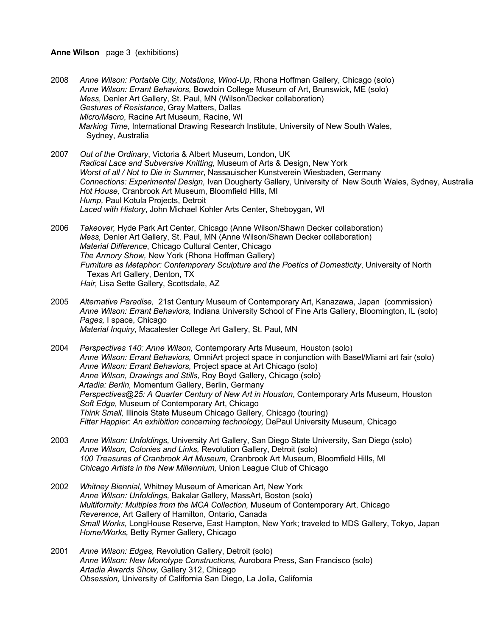#### **Anne Wilson** page 3 (exhibitions)

- 2008 *Anne Wilson: Portable City, Notations, Wind-Up,* Rhona Hoffman Gallery, Chicago (solo) *Anne Wilson: Errant Behaviors,* Bowdoin College Museum of Art, Brunswick, ME (solo) *Mess,* Denler Art Gallery, St. Paul, MN (Wilson/Decker collaboration) *Gestures of Resistance*, Gray Matters, Dallas *Micro/Macro*, Racine Art Museum, Racine, WI *Marking Time*, International Drawing Research Institute, University of New South Wales, Sydney, Australia
- 2007 *Out of the Ordinary*, Victoria & Albert Museum, London, UK *Radical Lace and Subversive Knitting,* Museum of Arts & Design, New York *Worst of all / Not to Die in Summer*, Nassauischer Kunstverein Wiesbaden, Germany *Connections: Experimental Design,* Ivan Dougherty Gallery, University of New South Wales, Sydney, Australia *Hot House,* Cranbrook Art Museum, Bloomfield Hills, MI *Hump,* Paul Kotula Projects, Detroit *Laced with History*, John Michael Kohler Arts Center, Sheboygan, WI
- 2006 *Takeover,* Hyde Park Art Center, Chicago (Anne Wilson/Shawn Decker collaboration) *Mess,* Denler Art Gallery, St. Paul, MN (Anne Wilson/Shawn Decker collaboration) *Material Difference*, Chicago Cultural Center, Chicago *The Armory Show,* New York (Rhona Hoffman Gallery) *Furniture as Metaphor: Contemporary Sculpture and the Poetics of Domesticity*, University of North Texas Art Gallery, Denton, TX  *Hair,* Lisa Sette Gallery, Scottsdale, AZ
- 2005 *Alternative Paradise,* 21st Century Museum of Contemporary Art, Kanazawa, Japan (commission) *Anne Wilson: Errant Behaviors,* Indiana University School of Fine Arts Gallery, Bloomington, IL (solo) *Pages,* I space, Chicago *Material Inquiry*, Macalester College Art Gallery, St. Paul, MN
- 2004 *Perspectives 140: Anne Wilson,* Contemporary Arts Museum, Houston (solo) *Anne Wilson: Errant Behaviors,* OmniArt project space in conjunction with Basel/Miami art fair (solo) *Anne Wilson: Errant Behaviors,* Project space at Art Chicago (solo) *Anne Wilson, Drawings and Stills,* Roy Boyd Gallery, Chicago (solo)  *Artadia: Berlin,* Momentum Gallery, Berlin, Germany *Perspectives@25: A Quarter Century of New Art in Houston*, Contemporary Arts Museum, Houston *Soft Edge,* Museum of Contemporary Art, Chicago *Think Small,* Illinois State Museum Chicago Gallery, Chicago (touring) *Fitter Happier: An exhibition concerning technology,* DePaul University Museum, Chicago
- 2003 *Anne Wilson: Unfoldings,* University Art Gallery, San Diego State University, San Diego (solo) *Anne Wilson, Colonies and Links,* Revolution Gallery, Detroit (solo) *100 Treasures of Cranbrook Art Museum,* Cranbrook Art Museum, Bloomfield Hills, MI *Chicago Artists in the New Millennium,* Union League Club of Chicago
- 2002 *Whitney Biennial,* Whitney Museum of American Art, New York *Anne Wilson: Unfoldings,* Bakalar Gallery, MassArt, Boston (solo) *Multiformity: Multiples from the MCA Collection,* Museum of Contemporary Art, Chicago *Reverence,* Art Gallery of Hamilton, Ontario, Canada *Small Works,* LongHouse Reserve, East Hampton, New York; traveled to MDS Gallery, Tokyo, Japan *Home/Works,* Betty Rymer Gallery, Chicago
- 2001 *Anne Wilson: Edges,* Revolution Gallery, Detroit (solo) *Anne Wilson: New Monotype Constructions,* Aurobora Press, San Francisco (solo) *Artadia Awards Show,* Gallery 312, Chicago *Obsession,* University of California San Diego, La Jolla, California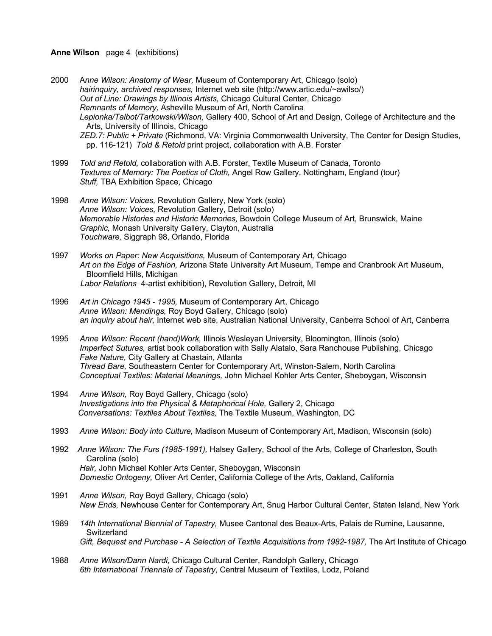#### **Anne Wilson** page 4 (exhibitions)

2000 A*nne Wilson: Anatomy of Wear,* Museum of Contemporary Art, Chicago (solo) *hairinquiry, archived responses,* Internet web site (http://www.artic.edu/~awilso/) *Out of Line: Drawings by Illinois Artists,* Chicago Cultural Center, Chicago *Remnants of Memory,* Asheville Museum of Art, North Carolina *Lepionka/Talbot/Tarkowski/Wilson,* Gallery 400, School of Art and Design, College of Architecture and the Arts, University of Illinois, Chicago *ZED.7: Public + Private* (Richmond, VA: Virginia Commonwealth University, The Center for Design Studies, pp. 116-121) *Told & Retold* print project, collaboration with A.B. Forster

- 1999 *Told and Retold,* collaboration with A.B. Forster, Textile Museum of Canada, Toronto *Textures of Memory: The Poetics of Cloth,* Angel Row Gallery, Nottingham, England (tour) *Stuff,* TBA Exhibition Space, Chicago
- 1998 *Anne Wilson: Voices,* Revolution Gallery, New York (solo) *Anne Wilson: Voices,* Revolution Gallery, Detroit (solo) *Memorable Histories and Historic Memories,* Bowdoin College Museum of Art, Brunswick, Maine *Graphic,* Monash University Gallery, Clayton, Australia *Touchware,* Siggraph 98, Orlando, Florida
- 1997 *Works on Paper: New Acquisitions,* Museum of Contemporary Art, Chicago *Art on the Edge of Fashion,* Arizona State University Art Museum, Tempe and Cranbrook Art Museum, Bloomfield Hills, Michigan *Labor Relations* 4-artist exhibition), Revolution Gallery, Detroit, MI
- 1996 *Art in Chicago 1945 - 1995,* Museum of Contemporary Art, Chicago *Anne Wilson: Mendings,* Roy Boyd Gallery, Chicago (solo) *an inquiry about hair,* Internet web site, Australian National University, Canberra School of Art, Canberra

1995 *Anne Wilson: Recent (hand)Work,* Illinois Wesleyan University, Bloomington, Illinois (solo) *Imperfect Sutures,* artist book collaboration with Sally Alatalo, Sara Ranchouse Publishing, Chicago *Fake Nature,* City Gallery at Chastain, Atlanta *Thread Bare,* Southeastern Center for Contemporary Art, Winston-Salem, North Carolina *Conceptual Textiles: Material Meanings,* John Michael Kohler Arts Center, Sheboygan, Wisconsin

- 1994 *Anne Wilson,* Roy Boyd Gallery, Chicago (solo) *Investigations into the Physical & Metaphorical Hole,* Gallery 2, Chicago *Conversations: Textiles About Textiles,* The Textile Museum, Washington, DC
- 1993 *Anne Wilson: Body into Culture,* Madison Museum of Contemporary Art, Madison, Wisconsin (solo)
- 1992 *Anne Wilson: The Furs (1985-1991),* Halsey Gallery, School of the Arts, College of Charleston, South Carolina (solo) *Hair,* John Michael Kohler Arts Center, Sheboygan, Wisconsin *Domestic Ontogeny,* Oliver Art Center, California College of the Arts, Oakland, California
- 1991 *Anne Wilson,* Roy Boyd Gallery, Chicago (solo) *New Ends,* Newhouse Center for Contemporary Art, Snug Harbor Cultural Center, Staten Island, New York
- 1989 *14th International Biennial of Tapestry,* Musee Cantonal des Beaux-Arts, Palais de Rumine, Lausanne, **Switzerland** *Gift, Bequest and Purchase - A Selection of Textile Acquisitions from 1982-1987,* The Art Institute of Chicago
- 1988 *Anne Wilson/Dann Nardi,* Chicago Cultural Center, Randolph Gallery, Chicago *6th International Triennale of Tapestry*, Central Museum of Textiles, Lodz, Poland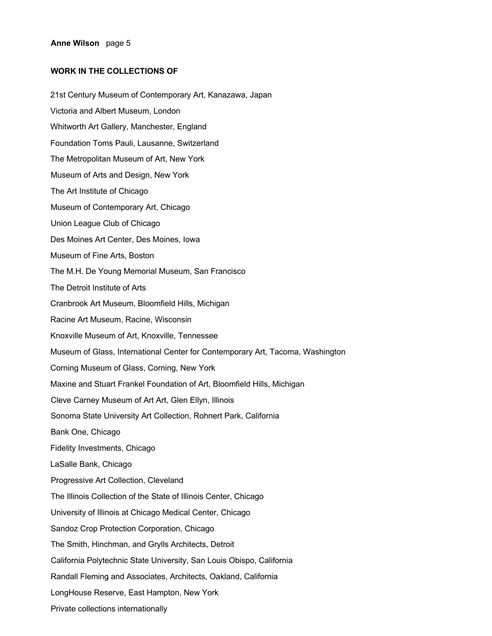## **WORK IN THE COLLECTIONS OF**

21st Century Museum of Contemporary Art, Kanazawa, Japan Victoria and Albert Museum, London Whitworth Art Gallery, Manchester, England Foundation Toms Pauli, Lausanne, Switzerland The Metropolitan Museum of Art, New York Museum of Arts and Design, New York The Art Institute of Chicago Museum of Contemporary Art, Chicago Union League Club of Chicago Des Moines Art Center, Des Moines, Iowa Museum of Fine Arts, Boston The M.H. De Young Memorial Museum, San Francisco The Detroit Institute of Arts Cranbrook Art Museum, Bloomfield Hills, Michigan Racine Art Museum, Racine, Wisconsin Knoxville Museum of Art, Knoxville, Tennessee Museum of Glass, International Center for Contemporary Art, Tacoma, Washington Corning Museum of Glass, Corning, New York Maxine and Stuart Frankel Foundation of Art, Bloomfield Hills, Michigan Cleve Carney Museum of Art Art, Glen Ellyn, Illinois Sonoma State University Art Collection, Rohnert Park, California Bank One, Chicago Fidelity Investments, Chicago LaSalle Bank, Chicago Progressive Art Collection, Cleveland The Illinois Collection of the State of Illinois Center, Chicago University of Illinois at Chicago Medical Center, Chicago Sandoz Crop Protection Corporation, Chicago The Smith, Hinchman, and Grylls Architects, Detroit California Polytechnic State University, San Louis Obispo, California Randall Fleming and Associates, Architects, Oakland, California LongHouse Reserve, East Hampton, New York Private collections internationally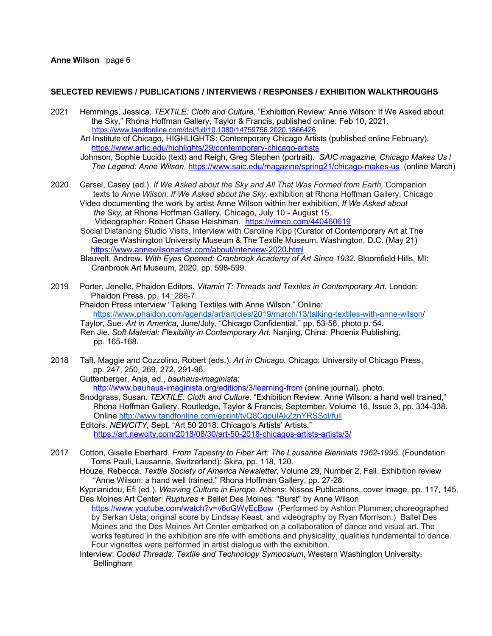#### **Anne Wilson** page 6

#### **SELECTED REVIEWS / PUBLICATIONS / INTERVIEWS / RESPONSES / EXHIBITION WALKTHROUGHS**

2021 Hemmings, Jessica. *TEXTILE: Cloth and Culture*. "Exhibition Review: Anne Wilson: If We Asked about the Sky," Rhona Hoffman Gallery, Taylor & Francis, published online: Feb 10, 2021. https://www.tandfonline.com/doi/full/10.1080/14759756.2020.1866426

 Art Institute of Chicago, HIGHLIGHTS: Contemporary Chicago Artists (published online February). https://www.artic.edu/highlights/29/contemporary-chicago-artists

 Johnson, Sophie Lucido (text) and Reigh, Greg Stephen (portrait). *SAIC magazine, Chicago Makes Us* / *The Legend: Anne Wilson*. https://www.saic.edu/magazine/spring21/chicago-makes-us (online March)

2020 Carsel, Casey (ed.). *If We Asked about the Sky and All That Was Formed from Earth,* Companion texts to *Anne Wilson: If We Asked about the Sky,* exhibition at Rhona Hoffman Gallery, Chicago Video documenting the work by artist Anne Wilson within her exhibition, *If We Asked about the Sky,* at Rhona Hoffman Gallery, Chicago, July 10 - August 15.

Videographer: Robert Chase Heishman. https://vimeo.com/440460619

 Social Distancing Studio Visits, Interview with Caroline Kipp (Curator of Contemporary Art at The George Washington University Museum & The Textile Museum, Washington, D.C. (May 21) https://www.annewilsonartist.com/about/interview-2020.html

 Blauvelt, Andrew. *With Eyes Opened: Cranbrook Academy of Art Since 1932*. Bloomfield Hills, MI: Cranbrook Art Museum, 2020, pp. 598-599.

2019 Porter, Jenelle, Phaidon Editors. *Vitamin T: Threads and Textiles in Contemporary Art.* London: Phaidon Press, pp. 14, 286-7.

 Phaidon Press interview "Talking Textiles with Anne Wilson." Online: https://www.phaidon.com/agenda/art/articles/2019/march/13/talking-textiles-with-anne-wilson/ Taylor, Sue. *Art in America*, June/July, "Chicago Confidential," pp. 53-56, photo p. 54.

 Ren Jie. *Soft Material: Flexibility in Contemporary Art*. Nanjing, China: Phoenix Publishing, pp. 165-168.

2018 Taft, Maggie and Cozzolino, Robert (eds.). *Art in Chicago.* Chicago: University of Chicago Press, pp. 247, 250, 269, 272, 291-96.

 Guttenberger, Anja, ed., *bauhaus-imaginista*: http://www.bauhaus-imaginista.org/editions/3/learning-from (online journal), photo.

 Snodgrass, Susan. *TEXTILE: Cloth and Culture*. "Exhibition Review: Anne Wilson: a hand well trained," Rhona Hoffman Gallery. Routledge, Taylor & Francis, September, Volume 16, Issue 3, pp. 334-338. Online http://www.tandfonline.com/eprint/tvQ8CqpuIAkZznYRSScI/full

 Editors. *NEWCITY,* Sept, "Art 50 2018: Chicago's Artists' Artists." https://art.newcity.com/2018/08/30/art-50-2018-chicagos-artists-artists/3/

2017 Cotton, Giselle Eberhard. *From Tapestry to Fiber Art: The Lausanne Biennials 1962-1995.* (Foundation Toms Pauli, Lausanne, Switzerland): Skira, pp. 118, 120.

 Houze, Rebecca. *Textile Society of America Newsletter*, Volume 29, Number 2, Fall. Exhibition review "Anne Wilson: a hand well trained," Rhona Hoffman Gallery, pp. 27-28.

 Kyprianidou, Efi (ed.). *Weaving Culture in Europe.* Athens: Nissos Publications, cover image, pp. 117, 145. Des Moines Art Center: *Ruptures* + Ballet Des Moines: "Burst" by Anne Wilson https://www.youtube.com/watch?v=v6oGWyEcBow (Performed by Ashton Plummer; choreographed

 by Serkan Usta; original score by Lindsay Keast; and videography by Ryan Morrison.) Ballet Des Moines and the Des Moines Art Center embarked on a collaboration of dance and visual art. The works featured in the exhibition are rife with emotions and physicality, qualities fundamental to dance. Four vignettes were performed in artist dialogue with the exhibition.

 Interview: *Coded Threads: Textile and Technology Symposium*, Western Washington University, **Bellingham**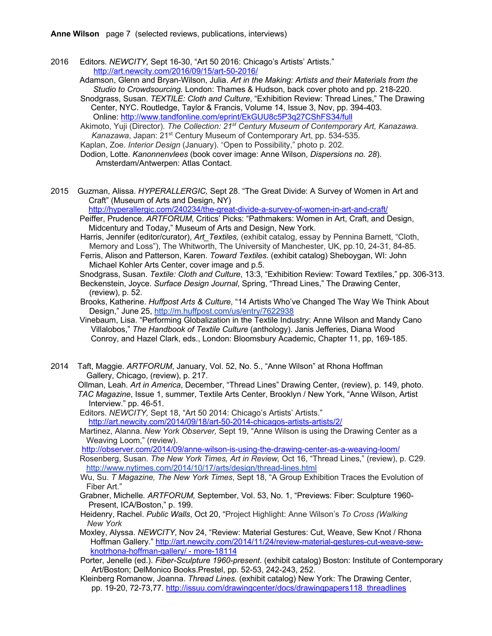- 2016 Editors. *NEWCITY,* Sept 16-30, "Art 50 2016: Chicago's Artists' Artists." http://art.newcity.com/2016/09/15/art-50-2016/
	- Adamson, Glenn and Bryan-Wilson, Julia. *Art in the Making: Artists and their Materials from the Studio to Crowdsourcing.* London: Thames & Hudson, back cover photo and pp. 218-220.
	- Snodgrass, Susan. *TEXTILE: Cloth and Culture*, "Exhibition Review: Thread Lines," The Drawing Center, NYC. Routledge, Taylor & Francis, Volume 14, Issue 3, Nov, pp. 394-403. Online: http://www.tandfonline.com/eprint/EkGUU8c5P3q27CShFS34/full

 Akimoto, Yuji (Director). *The Collection: 21st Century Museum of Contemporary Art, Kanazawa. Kanazawa*, Japan: 21st Century Museum of Contemporary Art, pp. 534-535.

Kaplan, Zoe. *Interior Design* (January). "Open to Possibility," photo p. 202.

 Dodion, Lotte. *Kanonnenvlees* (book cover image: Anne Wilson, *Dispersions no. 28*). Amsterdam/Antwerpen: Atlas Contact.

2015 Guzman, Alissa. *HYPERALLERGIC,* Sept 28. "The Great Divide: A Survey of Women in Art and Craft" (Museum of Arts and Design, NY)

http://hyperallergic.com/240234/the-great-divide-a-survey-of-women-in-art-and-craft/

- Peiffer, Prudence. *ARTFORUM,* Critics' Picks: "Pathmakers: Women in Art, Craft, and Design, Midcentury and Today," Museum of Arts and Design, New York.
- Harris, Jennifer (editor/curator), *Art\_Textiles,* (exhibit catalog, essay by Pennina Barnett, "Cloth, Memory and Loss"), The Whitworth, The University of Manchester, UK, pp.10, 24-31, 84-85.

 Ferris, Alison and Patterson, Karen. *Toward Textiles*. (exhibit catalog) Sheboygan, WI: John Michael Kohler Arts Center, cover image and p.5.

 Snodgrass, Susan. *Textile: Cloth and Culture*, 13:3, "Exhibition Review: Toward Textiles," pp. 306-313. Beckenstein, Joyce. *Surface Design Journal*, Spring, "Thread Lines," The Drawing Center, (review), p. 52.

 Brooks, Katherine. *Huffpost Arts & Culture*, "14 Artists Who've Changed The Way We Think About Design," June 25, http://m.huffpost.com/us/entry/7622938

 Vinebaum, Lisa. "Performing Globalization in the Textile Industry: Anne Wilson and Mandy Cano Villalobos," *The Handbook of Textile Culture* (anthology). Janis Jefferies, Diana Wood Conroy, and Hazel Clark, eds., London: Bloomsbury Academic, Chapter 11, pp, 169-185.

- 2014 Taft, Maggie. *ARTFORUM*, January, Vol. 52, No. 5., "Anne Wilson" at Rhona Hoffman Gallery, Chicago, (review), p. 217.
	- Ollman, Leah. *Art in America*, December, "Thread Lines" Drawing Center, (review), p. 149, photo. *TAC Magazine*, Issue 1, summer, Textile Arts Center, Brooklyn / New York, "Anne Wilson, Artist Interview." pp. 46-51.

Editors. *NEWCITY,* Sept 18, "Art 50 2014: Chicago's Artists' Artists." http://art.newcity.com/2014/09/18/art-50-2014-chicagos-artists-artists/2/

Martinez, Alanna. *New York Observer,* Sept 19, "Anne Wilson is using the Drawing Center as a Weaving Loom," (review).

http://observer.com/2014/09/anne-wilson-is-using-the-drawing-center-as-a-weaving-loom/

Rosenberg, Susan. *The New York Times, Art in Review,* Oct 16, "Thread Lines," (review), p. C29. http://www.nytimes.com/2014/10/17/arts/design/thread-lines.html

- Wu, Su. *T Magazine, The New York Times*, Sept 18, "A Group Exhibition Traces the Evolution of Fiber Art."
- Grabner, Michelle*. ARTFORUM,* September, Vol. 53, No. 1, "Previews: Fiber: Sculpture 1960- Present, ICA/Boston," p. 199.
- Heidenry, Rachel. *Public Walls*, Oct 20, "Project Highlight: Anne Wilson's *To Cross (Walking New York*
- Moxley, Alyssa. *NEWCITY*, Nov 24, "Review: Material Gestures: Cut, Weave, Sew Knot / Rhona Hoffman Gallery." http://art.newcity.com/2014/11/24/review-material-gestures-cut-weave-sewknotrhona-hoffman-gallery/ - more-18114
- Porter, Jenelle (ed.). *Fiber-Sculpture 1960-present*. (exhibit catalog) Boston: Institute of Contemporary Art/Boston; DelMonico Books.Prestel, pp. 52-53, 242-243, 252.
- Kleinberg Romanow, Joanna. *Thread Lines.* (exhibit catalog) New York: The Drawing Center, pp. 19-20, 72-73,77. http://issuu.com/drawingcenter/docs/drawingpapers118\_threadlines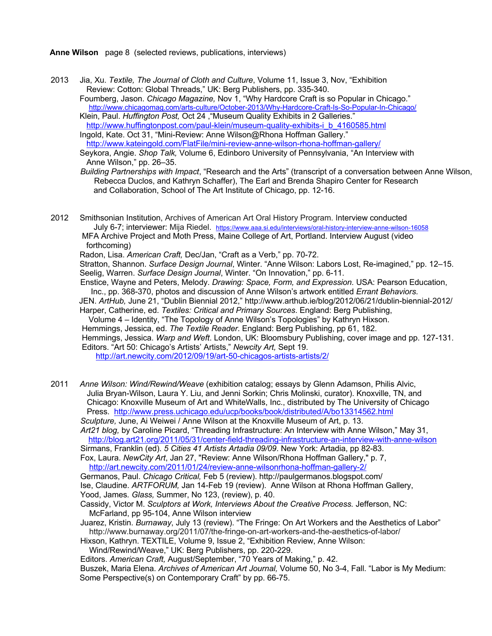**Anne Wilson** page 8 (selected reviews, publications, interviews)

2013 Jia, Xu. *Textile, The Journal of Cloth and Culture*, Volume 11, Issue 3, Nov, "Exhibition Review: Cotton: Global Threads," UK: Berg Publishers, pp. 335-340. Foumberg, Jason. *Chicago Magazine,* Nov 1, "Why Hardcore Craft is so Popular in Chicago."

 http://www.chicagomag.com/arts-culture/October-2013/Why-Hardcore-Craft-Is-So-Popular-In-Chicago/ Klein, Paul. *Huffington Post,* Oct 24 ,"Museum Quality Exhibits in 2 Galleries."

http://www.huffingtonpost.com/paul-klein/museum-quality-exhibits-i\_b\_4160585.html Ingold, Kate. Oct 31, "Mini-Review: Anne Wilson@Rhona Hoffman Gallery." http://www.kateingold.com/FlatFile/mini-review-anne-wilson-rhona-hoffman-gallery/ Seykora, Angie. *Shop Talk,* Volume 6, Edinboro University of Pennsylvania, "An Interview with Anne Wilson," pp. 26–35.

 *Building Partnerships with Impact*, "Research and the Arts" (transcript of a conversation between Anne Wilson, Rebecca Duclos, and Kathryn Schaffer), The Earl and Brenda Shapiro Center for Research and Collaboration, School of The Art Institute of Chicago, pp. 12-16.

2012 Smithsonian Institution, Archives of American Art Oral History Program. Interview conducted July 6-7; interviewer: Mija Riedel. https://www.aaa.si.edu/interviews/oral-history-interview-anne-wilson-16058 MFA Archive Project and Moth Press, Maine College of Art, Portland. Interview August (video

forthcoming)

Radon, Lisa. *American Craft,* Dec/Jan, "Craft as a Verb," pp. 70-72.

Stratton, Shannon. *Surface Design Journal*, Winter. "Anne Wilson: Labors Lost, Re-imagined," pp. 12–15. Seelig, Warren. *Surface Design Journal*, Winter. "On Innovation," pp. 6-11.

 Enstice, Wayne and Peters, Melody. *Drawing: Space, Form, and Expression.* USA: Pearson Education, Inc., pp. 368-370, photos and discussion of Anne Wilson's artwork entitled *Errant Behaviors*.

 JEN. *ArtHub,* June 21, "Dublin Biennial 2012," http://www.arthub.ie/blog/2012/06/21/dublin-biennial-2012/ Harper, Catherine, ed. *Textiles: Critical and Primary Sources*. England: Berg Publishing,

Volume 4 – Identity, "The Topology of Anne Wilson's Topologies" by Kathryn Hixson.

Hemmings, Jessica, ed. *The Textile Reader*. England: Berg Publishing, pp 61, 182.

Hemmings, Jessica. *Warp and Weft*. London, UK: Bloomsbury Publishing, cover image and pp. 127-131. Editors. "Art 50: Chicago's Artists' Artists," *Newcity Art,* Sept 19.

http://art.newcity.com/2012/09/19/art-50-chicagos-artists-artists/2/

2011 *Anne Wilson: Wind/Rewind/Weave* (exhibition catalog; essays by Glenn Adamson, Philis Alvic, Julia Bryan-Wilson, Laura Y. Liu, and Jenni Sorkin; Chris Molinski, curator). Knoxville, TN, and Chicago: Knoxville Museum of Art and WhiteWalls, Inc., distributed by The University of Chicago Press. http://www.press.uchicago.edu/ucp/books/book/distributed/A/bo13314562.html *Sculpture,* June, Ai Weiwei / Anne Wilson at the Knoxville Museum of Art, p. 13.

*Art21 blog,* by Caroline Picard, "Threading Infrastructure: An Interview with Anne Wilson," May 31, http://blog.art21.org/2011/05/31/center-field-threading-infrastructure-an-interview-with-anne-wilson Sirmans, Franklin (ed). *5 Cities 41 Artists Artadia 09/09*. New York: Artadia, pp 82-83.

 Fox, Laura. *NewCity Art*, Jan 27, "Review: Anne Wilson/Rhona Hoffman Gallery," p. 7, http://art.newcity.com/2011/01/24/review-anne-wilsonrhona-hoffman-gallery-2/

Germanos, Paul. *Chicago Critical,* Feb 5 (review). http://paulgermanos.blogspot.com/

 Ise, Claudine. *ARTFORUM,* Jan 14-Feb 19 (review). Anne Wilson at Rhona Hoffman Gallery, Yood, James*. Glass,* Summer, No 123, (review), p. 40.

 Cassidy, Victor M. *Sculptors at Work, Interviews About the Creative Process.* Jefferson, NC: McFarland, pp 95-104, Anne Wilson interview

 Juarez, Kristin. *Burnaway*, July 13 (review). "The Fringe: On Art Workers and the Aesthetics of Labor" http://www.burnaway.org/2011/07/the-fringe-on-art-workers-and-the-aesthetics-of-labor/

Hixson, Kathryn. TEXTILE, Volume 9, Issue 2, "Exhibition Review, Anne Wilson:

Wind/Rewind/Weave," UK: Berg Publishers, pp. 220-229.

Editors. *American Craft,* August/September, "70 Years of Making," p. 42.

 Buszek, Maria Elena. *Archives of American Art Journal,* Volume 50, No 3-4, Fall. "Labor is My Medium: Some Perspective(s) on Contemporary Craft" by pp. 66-75.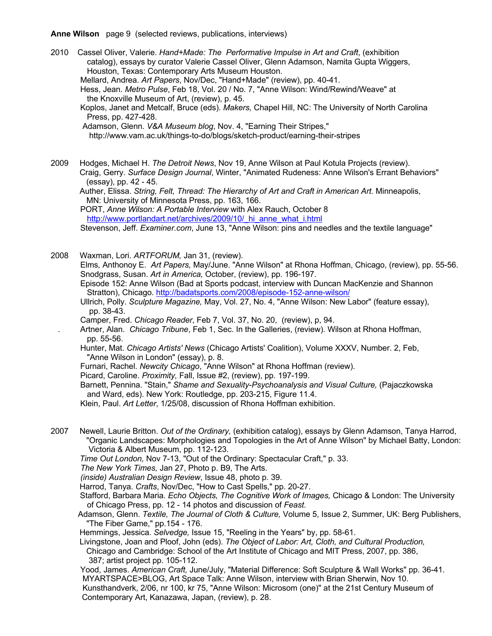**Anne Wilson** page 9 (selected reviews, publications, interviews)

2010 Cassel Oliver, Valerie. *Hand+Made: The Performative Impulse in Art and Craft*, (exhibition catalog), essays by curator Valerie Cassel Oliver, Glenn Adamson, Namita Gupta Wiggers, Houston, Texas: Contemporary Arts Museum Houston.

Mellard, Andrea. *Art Papers*, Nov/Dec, "Hand+Made" (review), pp. 40-41.

 Hess, Jean. *Metro Pulse*, Feb 18, Vol. 20 / No. 7, "Anne Wilson: Wind/Rewind/Weave" at the Knoxville Museum of Art, (review), p. 45.

 Koplos, Janet and Metcalf, Bruce (eds). *Makers,* Chapel Hill, NC: The University of North Carolina Press, pp. 427-428.

Adamson, Glenn. *V&A Museum blog*, Nov. 4, "Earning Their Stripes,"

http://www.vam.ac.uk/things-to-do/blogs/sketch-product/earning-their-stripes

2009 Hodges, Michael H. *The Detroit News*, Nov 19, Anne Wilson at Paul Kotula Projects (review). Craig, Gerry. *Surface Design Journal*, Winter, "Animated Rudeness: Anne Wilson's Errant Behaviors" (essay), pp. 42 - 45.

 Auther, Elissa. *String, Felt, Thread: The Hierarchy of Art and Craft in American Art.* Minneapolis, MN: University of Minnesota Press, pp. 163, 166.

 PORT, *Anne Wilson: A Portable Interview* with Alex Rauch, October 8 http://www.portlandart.net/archives/2009/10/ hi anne what i.html

Stevenson, Jeff. *Examiner.com*, June 13, "Anne Wilson: pins and needles and the textile language"

2008 Waxman, Lori. *ARTFORUM,* Jan 31, (review).

 Elms*,* Anthonoy E. *Art Papers,* May/June. "Anne Wilson" at Rhona Hoffman, Chicago, (review), pp. 55-56. Snodgrass, Susan. *Art in America,* October, (review), pp. 196-197.

 Episode 152: Anne Wilson (Bad at Sports podcast, interview with Duncan MacKenzie and Shannon Stratton), Chicago. http://badatsports.com/2008/episode-152-anne-wilson/

 Ullrich, Polly. *Sculpture Magazine,* May, Vol. 27, No. 4, "Anne Wilson: New Labor" (feature essay), pp. 38-43.

Camper, Fred. *Chicago Reader*, Feb 7, Vol. 37, No. 20, (review), p, 94.

. Artner, Alan. *Chicago Tribune*, Feb 1, Sec. In the Galleries, (review). Wilson at Rhona Hoffman, pp. 55-56.

 Hunter, Mat. *Chicago Artists' News* (Chicago Artists' Coalition), Volume XXXV, Number. 2, Feb, "Anne Wilson in London" (essay), p. 8.

Furnari, Rachel. *Newcity Chicago*, "Anne Wilson" at Rhona Hoffman (review).

Picard, Caroline. *Proximity,* Fall, Issue #2, (review), pp. 197-199.

Barnett, Pennina. "Stain," *Shame and Sexuality-Psychoanalysis and Visual Culture*, (Pajaczkowska and Ward, eds). New York: Routledge, pp. 203-215, Figure 11.4.

Klein, Paul. *Art Letter*, 1/25/08, discussion of Rhona Hoffman exhibition.

2007 Newell, Laurie Britton. *Out of the Ordinary,* (exhibition catalog), essays by Glenn Adamson, Tanya Harrod, "Organic Landscapes: Morphologies and Topologies in the Art of Anne Wilson" by Michael Batty, London: Victoria & Albert Museum, pp. 112-123.

*Time Out London,* Nov 7-13, "Out of the Ordinary: Spectacular Craft," p. 33.

 *The New York Times,* Jan 27, Photo p. B9, The Arts.

*(inside) Australian Design Review*, Issue 48, photo p. 39.

Harrod, Tanya. *Crafts*, Nov/Dec, "How to Cast Spells," pp. 20-27.

 Stafford, Barbara Maria. *Echo Objects, The Cognitive Work of Images,* Chicago & London: The University of Chicago Press, pp. 12 - 14 photos and discussion of *Feast.*

 Adamson, Glenn. *Textile, The Journal of Cloth & Culture,* Volume 5, Issue 2, Summer, UK: Berg Publishers, "The Fiber Game," pp.154 - 176.

Hemmings, Jessica. *Selvedge,* Issue 15, "Reeling in the Years" by, pp. 58-61.

Livingstone, Joan and Ploof, John (eds). *The Object of Labor: Art, Cloth, and Cultural Production,*

 Chicago and Cambridge: School of the Art Institute of Chicago and MIT Press, 2007, pp. 386, 387; artist project pp. 105-112.

 Yood, James. *American Craft,* June/July, "Material Difference: Soft Sculpture & Wall Works" pp. 36-41. MYARTSPACE>BLOG, Art Space Talk: Anne Wilson, interview with Brian Sherwin, Nov 10. Kunsthandverk, 2/06, nr 100, kr 75, "Anne Wilson: Microsom (one)" at the 21st Century Museum of Contemporary Art, Kanazawa, Japan, (review), p. 28.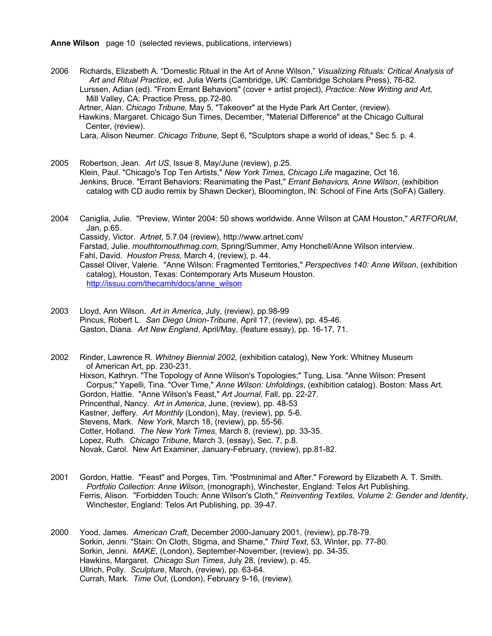**Anne Wilson** page 10 (selected reviews, publications, interviews)

2006 Richards, Elizabeth A. "Domestic Ritual in the Art of Anne Wilson," *Visualizing Rituals: Critical Analysis of Art and Ritual Practice*, ed. Julia Werts (Cambridge, UK: Cambridge Scholars Press), 76-82. Lurssen, Adian (ed). "From Errant Behaviors" (cover + artist project), *Practice: New Writing and Art,* Mill Valley, CA: Practice Press, pp.72-80. Artner, Alan. *Chicago Tribune,* May 5, "Takeover" at the Hyde Park Art Center, (review). Hawkins, Margaret. Chicago Sun Times, December, "Material Difference" at the Chicago Cultural Center, (review).

Lara, Alison Neumer. *Chicago Tribune,* Sept 6, "Sculptors shape a world of ideas," Sec 5. p. 4.

- 2005 Robertson, Jean. *Art US*, Issue 8, May/June (review), p.25. Klein, Paul. "Chicago's Top Ten Artists," *New York Times, Chicago Life* magazine, Oct 16. Jenkins, Bruce. "Errant Behaviors: Reanimating the Past," *Errant Behaviors, Anne Wilson*, (exhibition catalog with CD audio remix by Shawn Decker), Bloomington, IN: School of Fine Arts (SoFA) Gallery.
- 2004 Caniglia, Julie. "Preview, Winter 2004: 50 shows worldwide. Anne Wilson at CAM Houston," *ARTFORUM*, Jan, p.65. Cassidy, Victor. *Artnet*, 5.7.04 (review), http://www.artnet.com/ Farstad, Julie. *mouthtomouthmag.com,* Spring/Summer, Amy Honchell/Anne Wilson interview. Fahl, David. *Houston Press*, March 4, (review), p. 44. Cassel Oliver, Valerie. "Anne Wilson: Fragmented Territories," *Perspectives 140: Anne Wilson*, (exhibition catalog), Houston, Texas: Contemporary Arts Museum Houston. http://issuu.com/thecamh/docs/anne\_wilson
- 2003 Lloyd, Ann Wilson. *Art in America*, July, (review), pp.98-99 Pincus, Robert L. *San Diego Union-Tribune*, April 17, (review), pp. 45-46. Gaston, Diana. *Art New England*, April/May, (feature essay), pp. 16-17, 71.

2002 Rinder, Lawrence R. *Whitney Biennial 2002,* (exhibition catalog), New York: Whitney Museum of American Art, pp. 230-231. Hixson, Kathryn. "The Topology of Anne Wilson's Topologies;" Tung, Lisa. "Anne Wilson: Present Corpus;" Yapelli, Tina. "Over Time," *Anne Wilson: Unfoldings*, (exhibition catalog). Boston: Mass Art. Gordon, Hattie. "Anne Wilson's Feast," *Art Journal*, Fall, pp. 22-27. Princenthal, Nancy. *Art in America*, June, (review), pp. 48-53 Kastner, Jeffery. *Art Monthly* (London), May, (review), pp. 5-6. Stevens, Mark. *New York*, March 18, (review), pp. 55-56. Cotter, Holland. *The New York Times*, March 8, (review), pp. 33-35. Lopez, Ruth. *Chicago Tribune*, March 3, (essay), Sec. 7, p.8. Novak, Carol. New Art Examiner, January-February, (review), pp.81-82.

- 2001 Gordon, Hattie. "Feast" and Porges, Tim. "Postminimal and After." Foreword by Elizabeth A. T. Smith. *Portfolio Collection: Anne Wilson*, (monograph), Winchester, England: Telos Art Publishing. Ferris, Alison. "Forbidden Touch: Anne Wilson's Cloth," *Reinventing Textiles, Volume 2: Gender and Identity*, Winchester, England: Telos Art Publishing, pp. 39-47.
- 2000 Yood, James. *American Craft*, December 2000-January 2001, (review), pp.78-79. Sorkin, Jenni. "Stain: On Cloth, Stigma, and Shame," *Third Text*, 53, Winter, pp. 77-80. Sorkin, Jenni. *MAKE*, (London), September-November, (review), pp. 34-35. Hawkins, Margaret. *Chicago Sun Times*, July 28, (review), p. 45. Ullrich, Polly. *Sculpture*, March, (review), pp. 63-64. Currah, Mark. *Time Out*, (London), February 9-16, (review).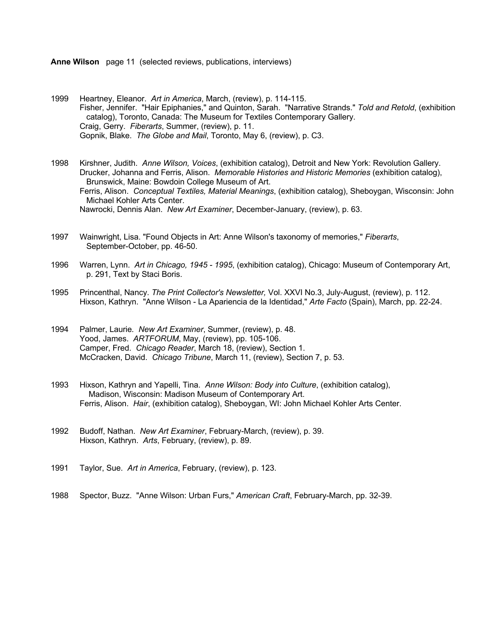**Anne Wilson** page 11 (selected reviews, publications, interviews)

1999 Heartney, Eleanor. *Art in America*, March, (review), p. 114-115. Fisher, Jennifer. "Hair Epiphanies," and Quinton, Sarah. "Narrative Strands." *Told and Retold*, (exhibition catalog), Toronto, Canada: The Museum for Textiles Contemporary Gallery. Craig, Gerry. *Fiberarts*, Summer, (review), p. 11. Gopnik, Blake. *The Globe and Mail*, Toronto, May 6, (review), p. C3.

1998 Kirshner, Judith. *Anne Wilson, Voices*, (exhibition catalog), Detroit and New York: Revolution Gallery. Drucker, Johanna and Ferris, Alison. *Memorable Histories and Historic Memories* (exhibition catalog), Brunswick, Maine: Bowdoin College Museum of Art. Ferris, Alison. *Conceptual Textiles, Material Meanings*, (exhibition catalog), Sheboygan, Wisconsin: John Michael Kohler Arts Center. Nawrocki, Dennis Alan. *New Art Examiner*, December-January, (review), p. 63.

- 1997 Wainwright, Lisa. "Found Objects in Art: Anne Wilson's taxonomy of memories," *Fiberarts*, September-October, pp. 46-50.
- 1996 Warren, Lynn. *Art in Chicago, 1945 - 1995*, (exhibition catalog), Chicago: Museum of Contemporary Art, p. 291, Text by Staci Boris.
- 1995 Princenthal, Nancy. *The Print Collector's Newsletter,* Vol. XXVI No.3, July-August, (review), p. 112. Hixson, Kathryn. "Anne Wilson - La Apariencia de la Identidad," *Arte Facto* (Spain), March, pp. 22-24.
- 1994 Palmer, Laurie*. New Art Examiner*, Summer, (review), p. 48. Yood, James. *ARTFORUM*, May, (review), pp. 105-106. Camper, Fred. *Chicago Reader*, March 18, (review), Section 1. McCracken, David. *Chicago Tribune*, March 11, (review), Section 7, p. 53.
- 1993 Hixson, Kathryn and Yapelli, Tina. *Anne Wilson: Body into Culture*, (exhibition catalog), Madison, Wisconsin: Madison Museum of Contemporary Art. Ferris, Alison. *Hair*, (exhibition catalog), Sheboygan, WI: John Michael Kohler Arts Center.
- 1992 Budoff, Nathan. *New Art Examiner*, February-March, (review), p. 39. Hixson, Kathryn. *Arts*, February, (review), p. 89.
- 1991 Taylor, Sue. *Art in America*, February, (review), p. 123.
- 1988 Spector, Buzz. "Anne Wilson: Urban Furs," *American Craft*, February-March, pp. 32-39.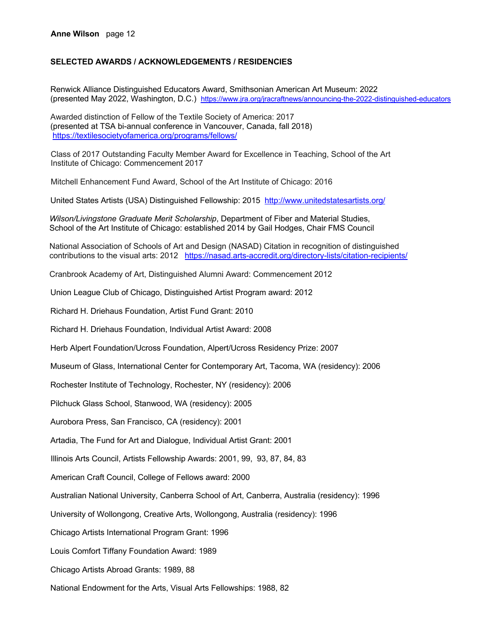## **SELECTED AWARDS / ACKNOWLEDGEMENTS / RESIDENCIES**

Renwick Alliance Distinguished Educators Award, Smithsonian American Art Museum: 2022 (presented May 2022, Washington, D.C.) https://www.jra.org/jracraftnews/announcing-the-2022-distinguished-educators

Awarded distinction of Fellow of the Textile Society of America: 2017 (presented at TSA bi-annual conference in Vancouver, Canada, fall 2018) https://textilesocietyofamerica.org/programs/fellows/

Class of 2017 Outstanding Faculty Member Award for Excellence in Teaching, School of the Art Institute of Chicago: Commencement 2017

Mitchell Enhancement Fund Award, School of the Art Institute of Chicago: 2016

United States Artists (USA) Distinguished Fellowship: 2015 http://www.unitedstatesartists.org/

 *Wilson/Livingstone Graduate Merit Scholarship*, Department of Fiber and Material Studies, School of the Art Institute of Chicago: established 2014 by Gail Hodges, Chair FMS Council

 National Association of Schools of Art and Design (NASAD) Citation in recognition of distinguished contributions to the visual arts: 2012 https://nasad.arts-accredit.org/directory-lists/citation-recipients/

Cranbrook Academy of Art, Distinguished Alumni Award: Commencement 2012

Union League Club of Chicago, Distinguished Artist Program award: 2012

Richard H. Driehaus Foundation, Artist Fund Grant: 2010

Richard H. Driehaus Foundation, Individual Artist Award: 2008

Herb Alpert Foundation/Ucross Foundation, Alpert/Ucross Residency Prize: 2007

Museum of Glass, International Center for Contemporary Art, Tacoma, WA (residency): 2006

Rochester Institute of Technology, Rochester, NY (residency): 2006

Pilchuck Glass School, Stanwood, WA (residency): 2005

Aurobora Press, San Francisco, CA (residency): 2001

Artadia, The Fund for Art and Dialogue, Individual Artist Grant: 2001

Illinois Arts Council, Artists Fellowship Awards: 2001, 99, 93, 87, 84, 83

American Craft Council, College of Fellows award: 2000

Australian National University, Canberra School of Art, Canberra, Australia (residency): 1996

University of Wollongong, Creative Arts, Wollongong, Australia (residency): 1996

Chicago Artists International Program Grant: 1996

Louis Comfort Tiffany Foundation Award: 1989

Chicago Artists Abroad Grants: 1989, 88

National Endowment for the Arts, Visual Arts Fellowships: 1988, 82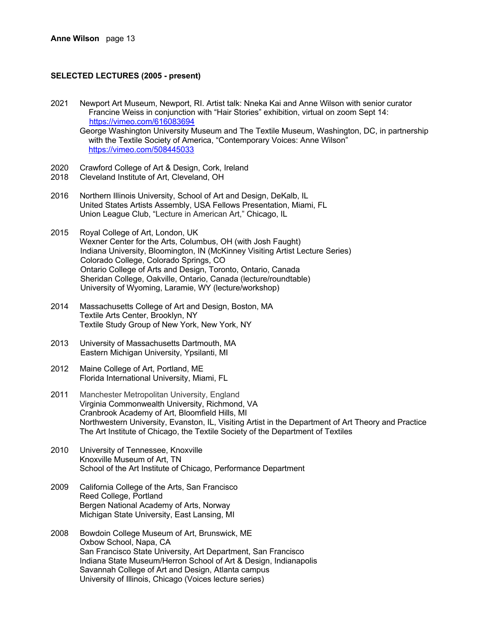## **SELECTED LECTURES (2005 - present)**

- 2021 Newport Art Museum, Newport, RI. Artist talk: Nneka Kai and Anne Wilson with senior curator Francine Weiss in conjunction with "Hair Stories" exhibition, virtual on zoom Sept 14: https://vimeo.com/616083694 George Washington University Museum and The Textile Museum, Washington, DC, in partnership with the Textile Society of America, "Contemporary Voices: Anne Wilson" https://vimeo.com/508445033
- 2020 Crawford College of Art & Design, Cork, Ireland<br>2018 Cleveland Institute of Art. Cleveland. OH
- Cleveland Institute of Art, Cleveland, OH
- 2016 Northern Illinois University, School of Art and Design, DeKalb, IL United States Artists Assembly, USA Fellows Presentation, Miami, FL Union League Club, "Lecture in American Art," Chicago, IL
- 2015 Royal College of Art, London, UK Wexner Center for the Arts, Columbus, OH (with Josh Faught) Indiana University, Bloomington, IN (McKinney Visiting Artist Lecture Series) Colorado College, Colorado Springs, CO Ontario College of Arts and Design, Toronto, Ontario, Canada Sheridan College, Oakville, Ontario, Canada (lecture/roundtable) University of Wyoming, Laramie, WY (lecture/workshop)
- 2014 Massachusetts College of Art and Design, Boston, MA Textile Arts Center, Brooklyn, NY Textile Study Group of New York, New York, NY
- 2013 University of Massachusetts Dartmouth, MA Eastern Michigan University, Ypsilanti, MI
- 2012 Maine College of Art, Portland, ME Florida International University, Miami, FL
- 2011 Manchester Metropolitan University, England Virginia Commonwealth University, Richmond, VA Cranbrook Academy of Art, Bloomfield Hills, MI Northwestern University, Evanston, IL, Visiting Artist in the Department of Art Theory and Practice The Art Institute of Chicago, the Textile Society of the Department of Textiles
- 2010 University of Tennessee, Knoxville Knoxville Museum of Art, TN School of the Art Institute of Chicago, Performance Department
- 2009 California College of the Arts, San Francisco Reed College, Portland Bergen National Academy of Arts, Norway Michigan State University, East Lansing, MI
- 2008 Bowdoin College Museum of Art, Brunswick, ME Oxbow School, Napa, CA San Francisco State University, Art Department, San Francisco Indiana State Museum/Herron School of Art & Design, Indianapolis Savannah College of Art and Design, Atlanta campus University of Illinois, Chicago (Voices lecture series)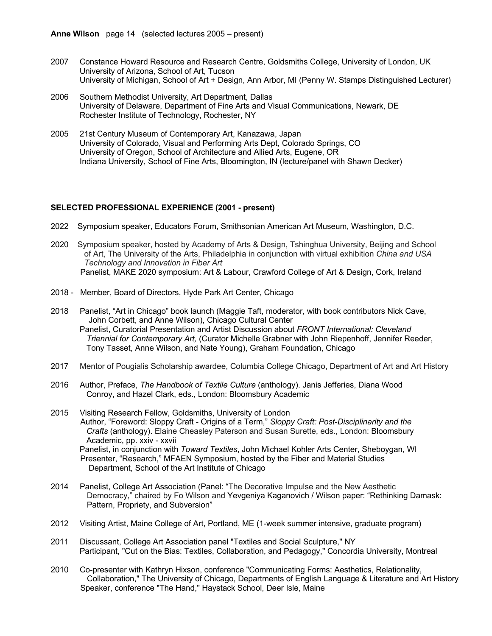- 2007 Constance Howard Resource and Research Centre, Goldsmiths College, University of London, UK University of Arizona, School of Art, Tucson University of Michigan, School of Art + Design, Ann Arbor, MI (Penny W. Stamps Distinguished Lecturer)
- 2006 Southern Methodist University, Art Department, Dallas University of Delaware, Department of Fine Arts and Visual Communications, Newark, DE Rochester Institute of Technology, Rochester, NY
- 2005 21st Century Museum of Contemporary Art, Kanazawa, Japan University of Colorado, Visual and Performing Arts Dept, Colorado Springs, CO University of Oregon, School of Architecture and Allied Arts, Eugene, OR Indiana University, School of Fine Arts, Bloomington, IN (lecture/panel with Shawn Decker)

## **SELECTED PROFESSIONAL EXPERIENCE (2001 - present)**

- 2022 Symposium speaker, Educators Forum, Smithsonian American Art Museum, Washington, D.C.
- 2020 Symposium speaker, hosted by Academy of Arts & Design, Tshinghua University, Beijing and School of Art, The University of the Arts, Philadelphia in conjunction with virtual exhibition *China and USA Technology and Innovation in Fiber Art* Panelist, MAKE 2020 symposium: Art & Labour, Crawford College of Art & Design, Cork, Ireland
- 2018 Member, Board of Directors, Hyde Park Art Center, Chicago
- 2018 Panelist, "Art in Chicago" book launch (Maggie Taft, moderator, with book contributors Nick Cave, John Corbett, and Anne Wilson), Chicago Cultural Center Panelist, Curatorial Presentation and Artist Discussion about *FRONT International: Cleveland Triennial for Contemporary Art,* (Curator Michelle Grabner with John Riepenhoff, Jennifer Reeder, Tony Tasset, Anne Wilson, and Nate Young), Graham Foundation, Chicago
- 2017 Mentor of Pougialis Scholarship awardee, Columbia College Chicago, Department of Art and Art History
- 2016 Author, Preface, *The Handbook of Textile Culture* (anthology). Janis Jefferies, Diana Wood Conroy, and Hazel Clark, eds., London: Bloomsbury Academic
- 2015 Visiting Research Fellow, Goldsmiths, University of London Author, "Foreword: Sloppy Craft - Origins of a Term," *Sloppy Craft: Post-Disciplinarity and the Crafts* (anthology). Elaine Cheasley Paterson and Susan Surette, eds., London: Bloomsbury Academic, pp. xxiv - xxvii Panelist, in conjunction with *Toward Textiles*, John Michael Kohler Arts Center, Sheboygan, WI Presenter, "Research," MFAEN Symposium, hosted by the Fiber and Material Studies Department, School of the Art Institute of Chicago
- 2014 Panelist, College Art Association (Panel: "The Decorative Impulse and the New Aesthetic Democracy," chaired by Fo Wilson and Yevgeniya Kaganovich / Wilson paper: "Rethinking Damask: Pattern, Propriety, and Subversion"
- 2012 Visiting Artist, Maine College of Art, Portland, ME (1-week summer intensive, graduate program)
- 2011 Discussant, College Art Association panel "Textiles and Social Sculpture," NY Participant, "Cut on the Bias: Textiles, Collaboration, and Pedagogy," Concordia University, Montreal
- 2010 Co-presenter with Kathryn Hixson, conference "Communicating Forms: Aesthetics, Relationality, Collaboration," The University of Chicago, Departments of English Language & Literature and Art History Speaker, conference "The Hand," Haystack School, Deer Isle, Maine